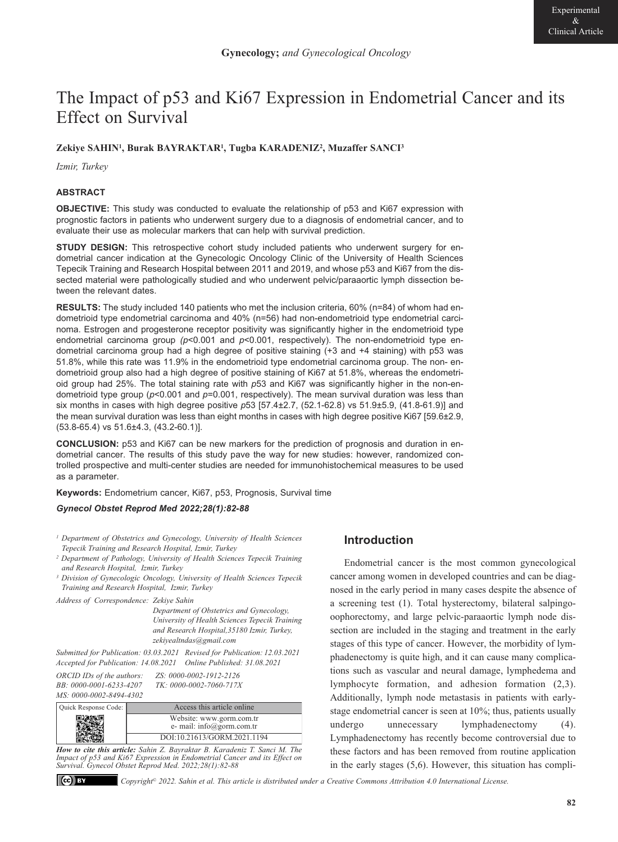# The Impact of p53 and Ki67 Expression in Endometrial Cancer and its Effect on Survival

# **Zekiye SAHIN1, Burak BAYRAKTAR1, Tugba KARADENIZ2, Muzaffer SANCI3**

*Izmir, Turkey*

# **ABSTRACT**

**OBJECTIVE:** This study was conducted to evaluate the relationship of p53 and Ki67 expression with prognostic factors in patients who underwent surgery due to a diagnosis of endometrial cancer, and to evaluate their use as molecular markers that can help with survival prediction.

**STUDY DESIGN:** This retrospective cohort study included patients who underwent surgery for endometrial cancer indication at the Gynecologic Oncology Clinic of the University of Health Sciences Tepecik Training and Research Hospital between 2011 and 2019, and whose p53 and Ki67 from the dissected material were pathologically studied and who underwent pelvic/paraaortic lymph dissection between the relevant dates.

**RESULTS:** The study included 140 patients who met the inclusion criteria, 60% (n=84) of whom had endometrioid type endometrial carcinoma and 40% (n=56) had non-endometrioid type endometrial carcinoma. Estrogen and progesterone receptor positivity was significantly higher in the endometrioid type endometrial carcinoma group *(p*<0.001 and *p*<0.001, respectively). The non-endometrioid type endometrial carcinoma group had a high degree of positive staining (+3 and +4 staining) with p53 was 51.8%, while this rate was 11.9% in the endometrioid type endometrial carcinoma group. The non- endometrioid group also had a high degree of positive staining of Ki67 at 51.8%, whereas the endometrioid group had 25%. The total staining rate with *p*53 and Ki67 was significantly higher in the non-endometrioid type group (*p*<0.001 and *p*=0.001, respectively). The mean survival duration was less than six months in cases with high degree positive *p*53 [57.4±2.7, (52.1-62.8) vs 51.9±5.9, (41.8-61.9)] and the mean survival duration was less than eight months in cases with high degree positive Ki67 [59.6±2.9, (53.8-65.4) vs 51.6±4.3, (43.2-60.1)].

**CONCLUSION:** p53 and Ki67 can be new markers for the prediction of prognosis and duration in endometrial cancer. The results of this study pave the way for new studies: however, randomized controlled prospective and multi-center studies are needed for immunohistochemical measures to be used as a parameter.

**Keywords:** Endometrium cancer, Ki67, p53, Prognosis, Survival time

#### *Gynecol Obstet Reprod Med 2022;28(1):82-88*

- *1 Department of Obstetrics and Gynecology, University of Health Sciences Tepecik Training and Research Hospital, Izmir, Turkey*
- *2 Department of Pathology, University of Health Sciences Tepecik Training and Research Hospital, Izmir, Turkey*
- *3 Division of Gynecologic Oncology, University of Health Sciences Tepecik Training and Research Hospital, Izmir, Turkey*

*Address of Correspondence: Zekiye Sahin* 

*Department of Obstetrics and Gynecology, University of Health Sciences Tepecik Training and Research Hospital,35180 Izmir, Turkey, zekiyealtndas@gmail.com* 

*Submitted for Publication: 03.03.2021 Revised for Publication: 12.03.2021 Accepted for Publication: 14.08.2021 Online Published: 31.08.2021* 

*ORCID IDs of the authors: ZS: 0000-0002-1912-2126 BB: 0000-0001-6233-4207 MS: 0000-0002-8494-4302*

| $20.00000002 - 1712 - 2120$ |  |
|-----------------------------|--|
| TK: 0000-0002-7060-717X     |  |
|                             |  |
|                             |  |

| Quick Response Code: | Access this article online                            |
|----------------------|-------------------------------------------------------|
|                      | Website: www.gorm.com.tr<br>e- mail: info@gorm.com.tr |
|                      | DOI:10.21613/GORM.2021.1194                           |

*How to cite this article: Sahin Z. Bayraktar B. Karadeniz T. Sanci M. The Impact of p53 and Ki67 Expression in Endometrial Cancer and its Effect on Survival. Gynecol Obstet Reprod Med. 2022;28(1):82-88*

#### $\left( \text{cc} \right)$  BY

#### *Copyright© 2022. Sahin et al. This article is distributed under a Creative Commons Attribution 4.0 International License.*

# **Introduction**

Endometrial cancer is the most common gynecological cancer among women in developed countries and can be diagnosed in the early period in many cases despite the absence of a screening test (1). Total hysterectomy, bilateral salpingooophorectomy, and large pelvic-paraaortic lymph node dissection are included in the staging and treatment in the early stages of this type of cancer. However, the morbidity of lymphadenectomy is quite high, and it can cause many complications such as vascular and neural damage, lymphedema and lymphocyte formation, and adhesion formation (2,3). Additionally, lymph node metastasis in patients with earlystage endometrial cancer is seen at 10%; thus, patients usually undergo unnecessary lymphadenectomy (4). Lymphadenectomy has recently become controversial due to these factors and has been removed from routine application in the early stages (5,6). However, this situation has compli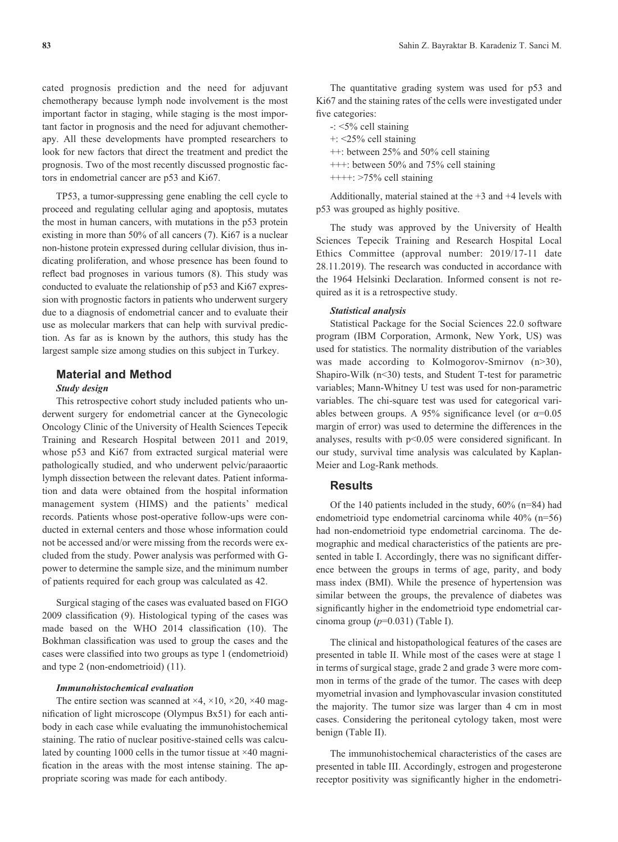cated prognosis prediction and the need for adjuvant chemotherapy because lymph node involvement is the most important factor in staging, while staging is the most important factor in prognosis and the need for adjuvant chemotherapy. All these developments have prompted researchers to look for new factors that direct the treatment and predict the prognosis. Two of the most recently discussed prognostic factors in endometrial cancer are p53 and Ki67.

TP53, a tumor-suppressing gene enabling the cell cycle to proceed and regulating cellular aging and apoptosis, mutates the most in human cancers, with mutations in the p53 protein existing in more than 50% of all cancers (7). Ki67 is a nuclear non-histone protein expressed during cellular division, thus indicating proliferation, and whose presence has been found to reflect bad prognoses in various tumors (8). This study was conducted to evaluate the relationship of p53 and Ki67 expression with prognostic factors in patients who underwent surgery due to a diagnosis of endometrial cancer and to evaluate their use as molecular markers that can help with survival prediction. As far as is known by the authors, this study has the largest sample size among studies on this subject in Turkey.

# **Material and Method**

# *Study design*

This retrospective cohort study included patients who underwent surgery for endometrial cancer at the Gynecologic Oncology Clinic of the University of Health Sciences Tepecik Training and Research Hospital between 2011 and 2019, whose p53 and Ki67 from extracted surgical material were pathologically studied, and who underwent pelvic/paraaortic lymph dissection between the relevant dates. Patient information and data were obtained from the hospital information management system (HIMS) and the patients' medical records. Patients whose post-operative follow-ups were conducted in external centers and those whose information could not be accessed and/or were missing from the records were excluded from the study. Power analysis was performed with Gpower to determine the sample size, and the minimum number of patients required for each group was calculated as 42.

Surgical staging of the cases was evaluated based on FIGO 2009 classification (9). Histological typing of the cases was made based on the WHO 2014 classification (10). The Bokhman classification was used to group the cases and the cases were classified into two groups as type 1 (endometrioid) and type 2 (non-endometrioid) (11).

#### *Immunohistochemical evaluation*

The entire section was scanned at  $\times$ 4,  $\times$ 10,  $\times$ 20,  $\times$ 40 magnification of light microscope (Olympus Bx51) for each antibody in each case while evaluating the immunohistochemical staining. The ratio of nuclear positive-stained cells was calculated by counting 1000 cells in the tumor tissue at  $\times$ 40 magnification in the areas with the most intense staining. The appropriate scoring was made for each antibody.

The quantitative grading system was used for p53 and Ki67 and the staining rates of the cells were investigated under five categories:

-: <5% cell staining +: <25% cell staining ++: between 25% and 50% cell staining +++: between 50% and 75% cell staining  $++++$ :  $>75\%$  cell staining

Additionally, material stained at the +3 and +4 levels with p53 was grouped as highly positive.

The study was approved by the University of Health Sciences Tepecik Training and Research Hospital Local Ethics Committee (approval number: 2019/17-11 date 28.11.2019). The research was conducted in accordance with the 1964 Helsinki Declaration. Informed consent is not required as it is a retrospective study.

#### *Statistical analysis*

Statistical Package for the Social Sciences 22.0 software program (IBM Corporation, Armonk, New York, US) was used for statistics. The normality distribution of the variables was made according to Kolmogorov-Smirnov (n>30), Shapiro-Wilk (n<30) tests, and Student T-test for parametric variables; Mann-Whitney U test was used for non-parametric variables. The chi-square test was used for categorical variables between groups. A 95% significance level (or  $\alpha$ =0.05 margin of error) was used to determine the differences in the analyses, results with p<0.05 were considered significant. In our study, survival time analysis was calculated by Kaplan-Meier and Log-Rank methods.

#### **Results**

Of the 140 patients included in the study, 60% (n=84) had endometrioid type endometrial carcinoma while 40% (n=56) had non-endometrioid type endometrial carcinoma. The demographic and medical characteristics of the patients are presented in table I. Accordingly, there was no significant difference between the groups in terms of age, parity, and body mass index (BMI). While the presence of hypertension was similar between the groups, the prevalence of diabetes was significantly higher in the endometrioid type endometrial carcinoma group (*p*=0.031) (Table I).

The clinical and histopathological features of the cases are presented in table II. While most of the cases were at stage 1 in terms of surgical stage, grade 2 and grade 3 were more common in terms of the grade of the tumor. The cases with deep myometrial invasion and lymphovascular invasion constituted the majority. The tumor size was larger than 4 cm in most cases. Considering the peritoneal cytology taken, most were benign (Table II).

The immunohistochemical characteristics of the cases are presented in table III. Accordingly, estrogen and progesterone receptor positivity was significantly higher in the endometri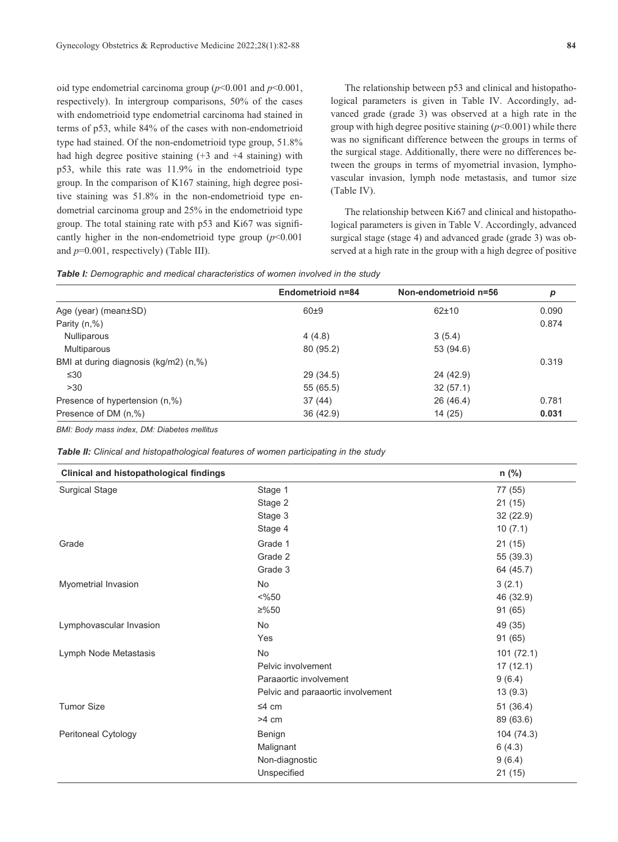oid type endometrial carcinoma group (*p*<0.001 and *p*<0.001, respectively). In intergroup comparisons, 50% of the cases with endometrioid type endometrial carcinoma had stained in terms of p53, while 84% of the cases with non-endometrioid type had stained. Of the non-endometrioid type group, 51.8% had high degree positive staining  $(+3 \text{ and } +4 \text{ staining})$  with p53, while this rate was 11.9% in the endometrioid type group. In the comparison of K167 staining, high degree positive staining was 51.8% in the non-endometrioid type endometrial carcinoma group and 25% in the endometrioid type group. The total staining rate with p53 and Ki67 was significantly higher in the non-endometrioid type group  $(p<0.001$ and *p*=0.001, respectively) (Table III).

The relationship between p53 and clinical and histopathological parameters is given in Table IV. Accordingly, advanced grade (grade 3) was observed at a high rate in the group with high degree positive staining (*p*<0.001) while there was no significant difference between the groups in terms of the surgical stage. Additionally, there were no differences between the groups in terms of myometrial invasion, lymphovascular invasion, lymph node metastasis, and tumor size (Table IV).

The relationship between Ki67 and clinical and histopathological parameters is given in Table V. Accordingly, advanced surgical stage (stage 4) and advanced grade (grade 3) was observed at a high rate in the group with a high degree of positive

*Table I: Demographic and medical characteristics of women involved in the study*

|                                       | Endometrioid n=84 | Non-endometrioid n=56 | p     |
|---------------------------------------|-------------------|-----------------------|-------|
| Age (year) (mean±SD)                  | $60+9$            | $62 + 10$             | 0.090 |
| Parity $(n, %)$                       |                   |                       | 0.874 |
| Nulliparous                           | 4(4.8)            | 3(5.4)                |       |
| Multiparous                           | 80 (95.2)         | 53 (94.6)             |       |
| BMI at during diagnosis (kg/m2) (n,%) |                   |                       | 0.319 |
| $\leq 30$                             | 29 (34.5)         | 24 (42.9)             |       |
| >30                                   | 55 (65.5)         | 32(57.1)              |       |
| Presence of hypertension (n,%)        | 37(44)            | 26 (46.4)             | 0.781 |
| Presence of DM (n,%)                  | 36(42.9)          | 14 (25)               | 0.031 |

*BMI: Body mass index, DM: Diabetes mellitus* 

| Table II: Clinical and histopathological features of women participating in the study |  |
|---------------------------------------------------------------------------------------|--|
|---------------------------------------------------------------------------------------|--|

| <b>Clinical and histopathological findings</b> |                                   | n (%)      |
|------------------------------------------------|-----------------------------------|------------|
| <b>Surgical Stage</b>                          | Stage 1                           | 77 (55)    |
|                                                | Stage 2                           | 21(15)     |
|                                                | Stage 3                           | 32(22.9)   |
|                                                | Stage 4                           | 10(7.1)    |
| Grade                                          | Grade 1                           | 21(15)     |
|                                                | Grade 2                           | 55 (39.3)  |
|                                                | Grade 3                           | 64 (45.7)  |
| Myometrial Invasion                            | No                                | 3(2.1)     |
|                                                | $<\frac{9}{6}50$                  | 46 (32.9)  |
|                                                | ≥%50                              | 91 (65)    |
| Lymphovascular Invasion                        | <b>No</b>                         | 49 (35)    |
|                                                | Yes                               | 91 (65)    |
| Lymph Node Metastasis                          | No                                | 101(72.1)  |
|                                                | Pelvic involvement                | 17(12.1)   |
|                                                | Paraaortic involvement            | 9(6.4)     |
|                                                | Pelvic and paraaortic involvement | 13(9.3)    |
| <b>Tumor Size</b>                              | $\leq 4$ cm                       | 51(36.4)   |
|                                                | $>4$ cm                           | 89 (63.6)  |
| Peritoneal Cytology                            | Benign                            | 104 (74.3) |
|                                                | Malignant                         | 6(4.3)     |
|                                                | Non-diagnostic                    | 9(6.4)     |
|                                                | Unspecified                       | 21(15)     |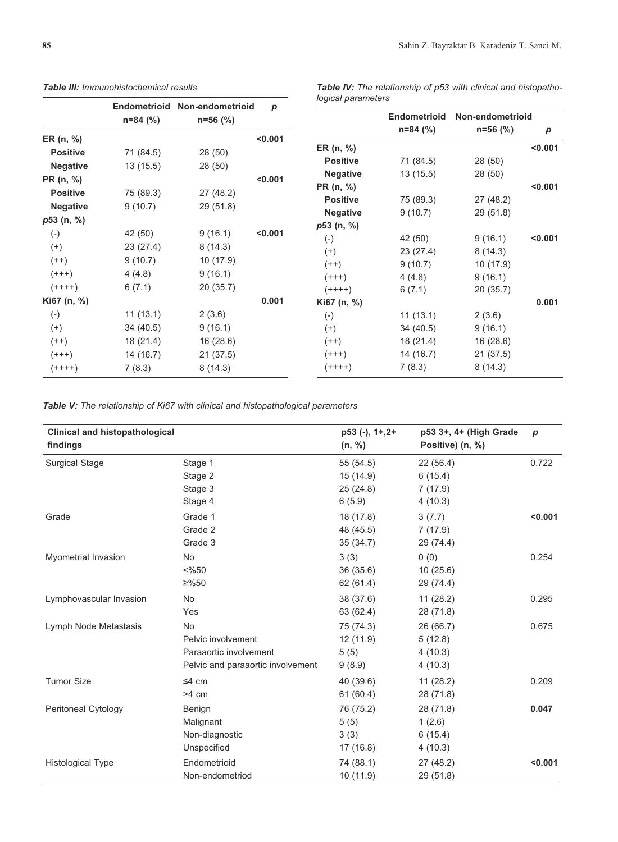|                 |            | Endometrioid Non-endometrioid | $\boldsymbol{p}$ | <i>fogical parameters</i> |                     |                  |         |
|-----------------|------------|-------------------------------|------------------|---------------------------|---------------------|------------------|---------|
|                 | $n=84$ (%) | $n=56$ (%)                    |                  |                           | <b>Endometrioid</b> | Non-endometrioid |         |
|                 |            |                               |                  |                           | $n=84$ (%)          | $n=56$ (%)       | p       |
| ER (n, %)       |            |                               | < 0.001          | ER (n, %)                 |                     |                  | < 0.001 |
| <b>Positive</b> | 71 (84.5)  | 28 (50)                       |                  |                           |                     |                  |         |
| <b>Negative</b> | 13(15.5)   | 28 (50)                       |                  | <b>Positive</b>           | 71 (84.5)           | 28 (50)          |         |
| PR (n, %)       |            |                               | < 0.001          | <b>Negative</b>           | 13(15.5)            | 28 (50)          |         |
| <b>Positive</b> | 75 (89.3)  | 27 (48.2)                     |                  | PR (n, %)                 |                     |                  | < 0.001 |
| <b>Negative</b> | 9(10.7)    | 29 (51.8)                     |                  | <b>Positive</b>           | 75 (89.3)           | 27 (48.2)        |         |
|                 |            |                               |                  | <b>Negative</b>           | 9(10.7)             | 29 (51.8)        |         |
| p53 (n, %)      |            |                               |                  | p53 (n, %)                |                     |                  |         |
| $(-)$           | 42 (50)    | 9(16.1)                       | < 0.001          | $(-)$                     | 42 (50)             | 9(16.1)          | < 0.001 |
| $^{(+)}$        | 23 (27.4)  | 8(14.3)                       |                  | $(+)$                     | 23 (27.4)           | 8(14.3)          |         |
| $(++)$          | 9(10.7)    | 10 (17.9)                     |                  | $(++)$                    | 9(10.7)             | 10(17.9)         |         |
| $(+++)$         | 4(4.8)     | 9(16.1)                       |                  | $(+++)$                   | 4(4.8)              | 9(16.1)          |         |
| $(++++)$        | 6(7.1)     | 20(35.7)                      |                  | $(+ + + +)$               | 6(7.1)              | 20 (35.7)        |         |
| Ki67 (n, %)     |            |                               | 0.001            | Ki67 (n, %)               |                     |                  | 0.001   |
| $(-)$           | 11(13.1)   | 2(3.6)                        |                  | $(-)$                     | 11(13.1)            | 2(3.6)           |         |
| $^{(+)}$        | 34 (40.5)  | 9(16.1)                       |                  | $^{(+)}$                  | 34 (40.5)           | 9(16.1)          |         |
| $(++)$          | 18 (21.4)  | 16 (28.6)                     |                  | $(++)$                    | 18(21.4)            | 16(28.6)         |         |
| $(+++)$         | 14 (16.7)  | 21(37.5)                      |                  | $(+++)$                   | 14 (16.7)           | 21(37.5)         |         |
| (++++)          | 7(8.3)     | 8(14.3)                       |                  | $(++++)$                  | 7(8.3)              | 8(14.3)          |         |
|                 |            |                               |                  |                           |                     |                  |         |

*Table III: Immunohistochemical results* 

*Table V: The relationship of Ki67 with clinical and histopathological parameters*

| <b>Clinical and histopathological</b><br>findings |                                   | $p53$ (-), $1+,2+$<br>(n, %) | p53 3+, 4+ (High Grade<br>Positive) (n, %) | $\boldsymbol{p}$ |
|---------------------------------------------------|-----------------------------------|------------------------------|--------------------------------------------|------------------|
| <b>Surgical Stage</b>                             | Stage 1                           | 55 (54.5)                    | 22 (56.4)                                  | 0.722            |
|                                                   | Stage 2                           | 15 (14.9)                    | 6(15.4)                                    |                  |
|                                                   | Stage 3                           | 25(24.8)                     | 7(17.9)                                    |                  |
|                                                   | Stage 4                           | 6(5.9)                       | 4(10.3)                                    |                  |
| Grade                                             | Grade 1                           | 18 (17.8)                    | 3(7.7)                                     | < 0.001          |
|                                                   | Grade 2                           | 48 (45.5)                    | 7(17.9)                                    |                  |
|                                                   | Grade 3                           | 35(34.7)                     | 29 (74.4)                                  |                  |
| Myometrial Invasion                               | No                                | 3(3)                         | 0(0)                                       | 0.254            |
|                                                   | $<\frac{9}{6}50$                  | 36 (35.6)                    | 10(25.6)                                   |                  |
|                                                   | ≥%50                              | 62 (61.4)                    | 29 (74.4)                                  |                  |
| Lymphovascular Invasion                           | <b>No</b>                         | 38 (37.6)                    | 11(28.2)                                   | 0.295            |
|                                                   | Yes                               | 63 (62.4)                    | 28 (71.8)                                  |                  |
| Lymph Node Metastasis                             | No                                | 75 (74.3)                    | 26 (66.7)                                  | 0.675            |
|                                                   | Pelvic involvement                | 12(11.9)                     | 5(12.8)                                    |                  |
|                                                   | Paraaortic involvement            | 5(5)                         | 4(10.3)                                    |                  |
|                                                   | Pelvic and paraaortic involvement | 9(8.9)                       | 4(10.3)                                    |                  |
| <b>Tumor Size</b>                                 | $\leq 4$ cm                       | 40 (39.6)                    | 11(28.2)                                   | 0.209            |
|                                                   | $>4$ cm                           | 61(60.4)                     | 28 (71.8)                                  |                  |
| Peritoneal Cytology                               | Benign                            | 76 (75.2)                    | 28 (71.8)                                  | 0.047            |
|                                                   | Malignant                         | 5(5)                         | 1(2.6)                                     |                  |
|                                                   | Non-diagnostic                    | 3(3)                         | 6(15.4)                                    |                  |
|                                                   | Unspecified                       | 17 (16.8)                    | 4(10.3)                                    |                  |
| <b>Histological Type</b>                          | Endometrioid                      | 74 (88.1)                    | 27 (48.2)                                  | < 0.001          |
|                                                   | Non-endometriod                   | 10(11.9)                     | 29 (51.8)                                  |                  |

#### *Table IV: The relationship of p53 with clinical and histopathological parameters*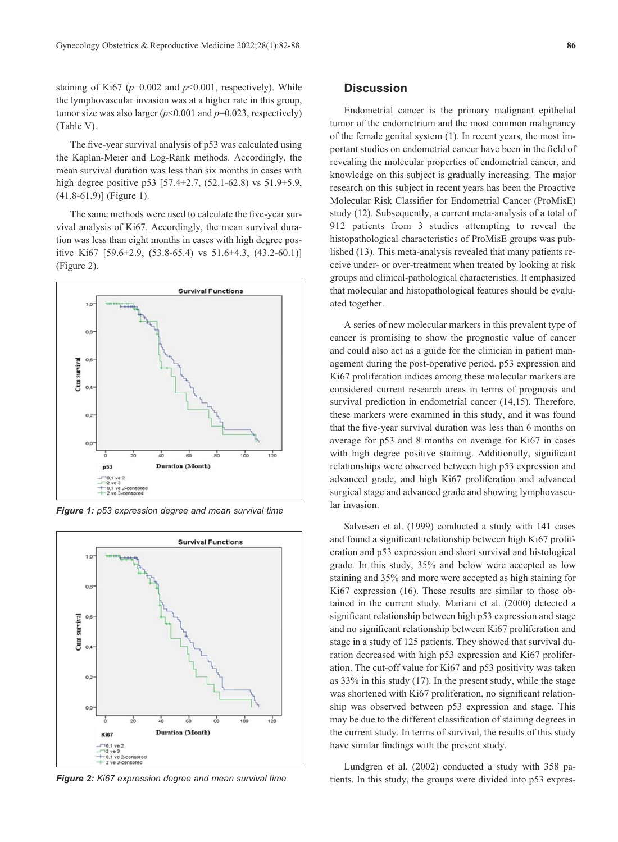staining of Ki67 ( $p=0.002$  and  $p<0.001$ , respectively). While the lymphovascular invasion was at a higher rate in this group, tumor size was also larger  $(p<0.001$  and  $p=0.023$ , respectively) (Table V).

The five-year survival analysis of p53 was calculated using the Kaplan-Meier and Log-Rank methods. Accordingly, the mean survival duration was less than six months in cases with high degree positive p53 [57.4±2.7, (52.1-62.8) vs 51.9±5.9, (41.8-61.9)] (Figure 1).

The same methods were used to calculate the five-year survival analysis of Ki67. Accordingly, the mean survival duration was less than eight months in cases with high degree positive Ki67 [59.6±2.9, (53.8-65.4) vs 51.6±4.3, (43.2-60.1)] (Figure 2).



*Figure 1: p53 expression degree and mean survival time*



*Figure 2: Ki67 expression degree and mean survival time*

# **Discussion**

Endometrial cancer is the primary malignant epithelial tumor of the endometrium and the most common malignancy of the female genital system (1). In recent years, the most important studies on endometrial cancer have been in the field of revealing the molecular properties of endometrial cancer, and knowledge on this subject is gradually increasing. The major research on this subject in recent years has been the Proactive Molecular Risk Classifier for Endometrial Cancer (ProMisE) study (12). Subsequently, a current meta-analysis of a total of 912 patients from 3 studies attempting to reveal the histopathological characteristics of ProMisE groups was published (13). This meta-analysis revealed that many patients receive under- or over-treatment when treated by looking at risk groups and clinical-pathological characteristics. It emphasized that molecular and histopathological features should be evaluated together.

A series of new molecular markers in this prevalent type of cancer is promising to show the prognostic value of cancer and could also act as a guide for the clinician in patient management during the post-operative period. p53 expression and Ki67 proliferation indices among these molecular markers are considered current research areas in terms of prognosis and survival prediction in endometrial cancer (14,15). Therefore, these markers were examined in this study, and it was found that the five-year survival duration was less than 6 months on average for p53 and 8 months on average for Ki67 in cases with high degree positive staining. Additionally, significant relationships were observed between high p53 expression and advanced grade, and high Ki67 proliferation and advanced surgical stage and advanced grade and showing lymphovascular invasion.

Salvesen et al. (1999) conducted a study with 141 cases and found a significant relationship between high Ki67 proliferation and p53 expression and short survival and histological grade. In this study, 35% and below were accepted as low staining and 35% and more were accepted as high staining for Ki67 expression (16). These results are similar to those obtained in the current study. Mariani et al. (2000) detected a significant relationship between high p53 expression and stage and no significant relationship between Ki67 proliferation and stage in a study of 125 patients. They showed that survival duration decreased with high p53 expression and Ki67 proliferation. The cut-off value for Ki67 and p53 positivity was taken as 33% in this study (17). In the present study, while the stage was shortened with Ki67 proliferation, no significant relationship was observed between p53 expression and stage. This may be due to the different classification of staining degrees in the current study. In terms of survival, the results of this study have similar findings with the present study.

Lundgren et al. (2002) conducted a study with 358 patients. In this study, the groups were divided into p53 expres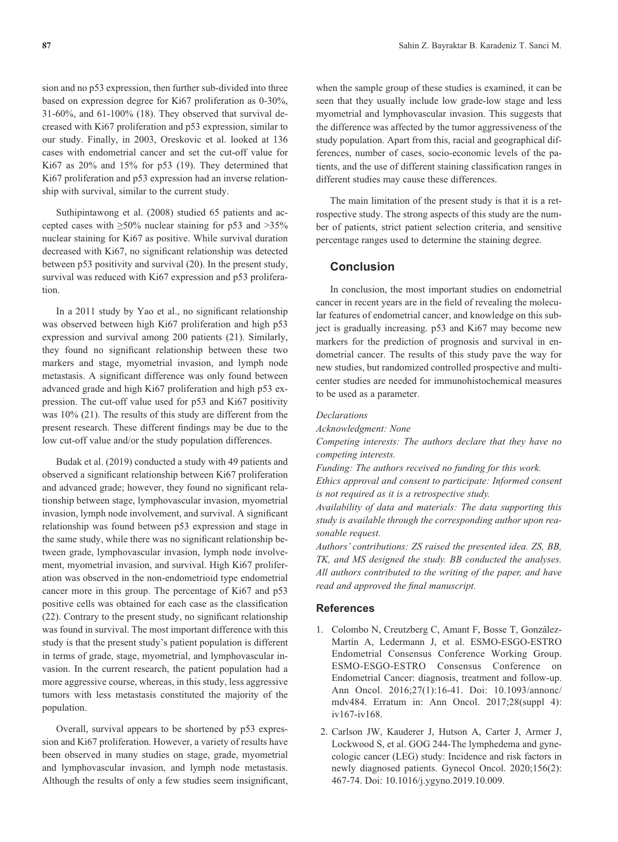sion and no p53 expression, then further sub-divided into three based on expression degree for Ki67 proliferation as 0-30%, 31-60%, and 61-100% (18). They observed that survival decreased with Ki67 proliferation and p53 expression, similar to our study. Finally, in 2003, Oreskovic et al. looked at 136 cases with endometrial cancer and set the cut-off value for Ki67 as 20% and 15% for p53 (19). They determined that Ki67 proliferation and p53 expression had an inverse relationship with survival, similar to the current study.

Suthipintawong et al. (2008) studied 65 patients and accepted cases with  $\geq 50\%$  nuclear staining for p53 and  $>35\%$ nuclear staining for Ki67 as positive. While survival duration decreased with Ki67, no significant relationship was detected between p53 positivity and survival (20). In the present study, survival was reduced with Ki67 expression and p53 proliferation.

In a 2011 study by Yao et al., no significant relationship was observed between high Ki67 proliferation and high p53 expression and survival among 200 patients (21). Similarly, they found no significant relationship between these two markers and stage, myometrial invasion, and lymph node metastasis. A significant difference was only found between advanced grade and high Ki67 proliferation and high p53 expression. The cut-off value used for p53 and Ki67 positivity was 10% (21). The results of this study are different from the present research. These different findings may be due to the low cut-off value and/or the study population differences.

Budak et al. (2019) conducted a study with 49 patients and observed a significant relationship between Ki67 proliferation and advanced grade; however, they found no significant relationship between stage, lymphovascular invasion, myometrial invasion, lymph node involvement, and survival. A significant relationship was found between p53 expression and stage in the same study, while there was no significant relationship between grade, lymphovascular invasion, lymph node involvement, myometrial invasion, and survival. High Ki67 proliferation was observed in the non-endometrioid type endometrial cancer more in this group. The percentage of Ki67 and p53 positive cells was obtained for each case as the classification (22). Contrary to the present study, no significant relationship was found in survival. The most important difference with this study is that the present study's patient population is different in terms of grade, stage, myometrial, and lymphovascular invasion. In the current research, the patient population had a more aggressive course, whereas, in this study, less aggressive tumors with less metastasis constituted the majority of the population.

Overall, survival appears to be shortened by p53 expression and Ki67 proliferation. However, a variety of results have been observed in many studies on stage, grade, myometrial and lymphovascular invasion, and lymph node metastasis. Although the results of only a few studies seem insignificant, when the sample group of these studies is examined, it can be seen that they usually include low grade-low stage and less myometrial and lymphovascular invasion. This suggests that the difference was affected by the tumor aggressiveness of the study population. Apart from this, racial and geographical differences, number of cases, socio-economic levels of the patients, and the use of different staining classification ranges in different studies may cause these differences.

The main limitation of the present study is that it is a retrospective study. The strong aspects of this study are the number of patients, strict patient selection criteria, and sensitive percentage ranges used to determine the staining degree.

# **Conclusion**

In conclusion, the most important studies on endometrial cancer in recent years are in the field of revealing the molecular features of endometrial cancer, and knowledge on this subject is gradually increasing. p53 and Ki67 may become new markers for the prediction of prognosis and survival in endometrial cancer. The results of this study pave the way for new studies, but randomized controlled prospective and multicenter studies are needed for immunohistochemical measures to be used as a parameter.

## *Declarations*

*Acknowledgment: None* 

*Competing interests: The authors declare that they have no competing interests.* 

*Funding: The authors received no funding for this work.* 

*Ethics approval and consent to participate: Informed consent is not required as it is a retrospective study.* 

*Availability of data and materials: The data supporting this study is available through the corresponding author upon reasonable request.* 

*Authors' contributions: ZS raised the presented idea. ZS, BB, TK, and MS designed the study. BB conducted the analyses. All authors contributed to the writing of the paper, and have read and approved the final manuscript.* 

### **References**

- 1. Colombo N, Creutzberg C, Amant F, Bosse T, González-Martín A, Ledermann J, et al. ESMO-ESGO-ESTRO Endometrial Consensus Conference Working Group. ESMO-ESGO-ESTRO Consensus Conference on Endometrial Cancer: diagnosis, treatment and follow-up. Ann Oncol. 2016;27(1):16-41. Doi: 10.1093/annonc/ mdv484. Erratum in: Ann Oncol. 2017;28(suppl 4): iv167-iv168.
- 2. Carlson JW, Kauderer J, Hutson A, Carter J, Armer J, Lockwood S, et al. GOG 244-The lymphedema and gynecologic cancer (LEG) study: Incidence and risk factors in newly diagnosed patients. Gynecol Oncol. 2020;156(2): 467-74. Doi: 10.1016/j.ygyno.2019.10.009.